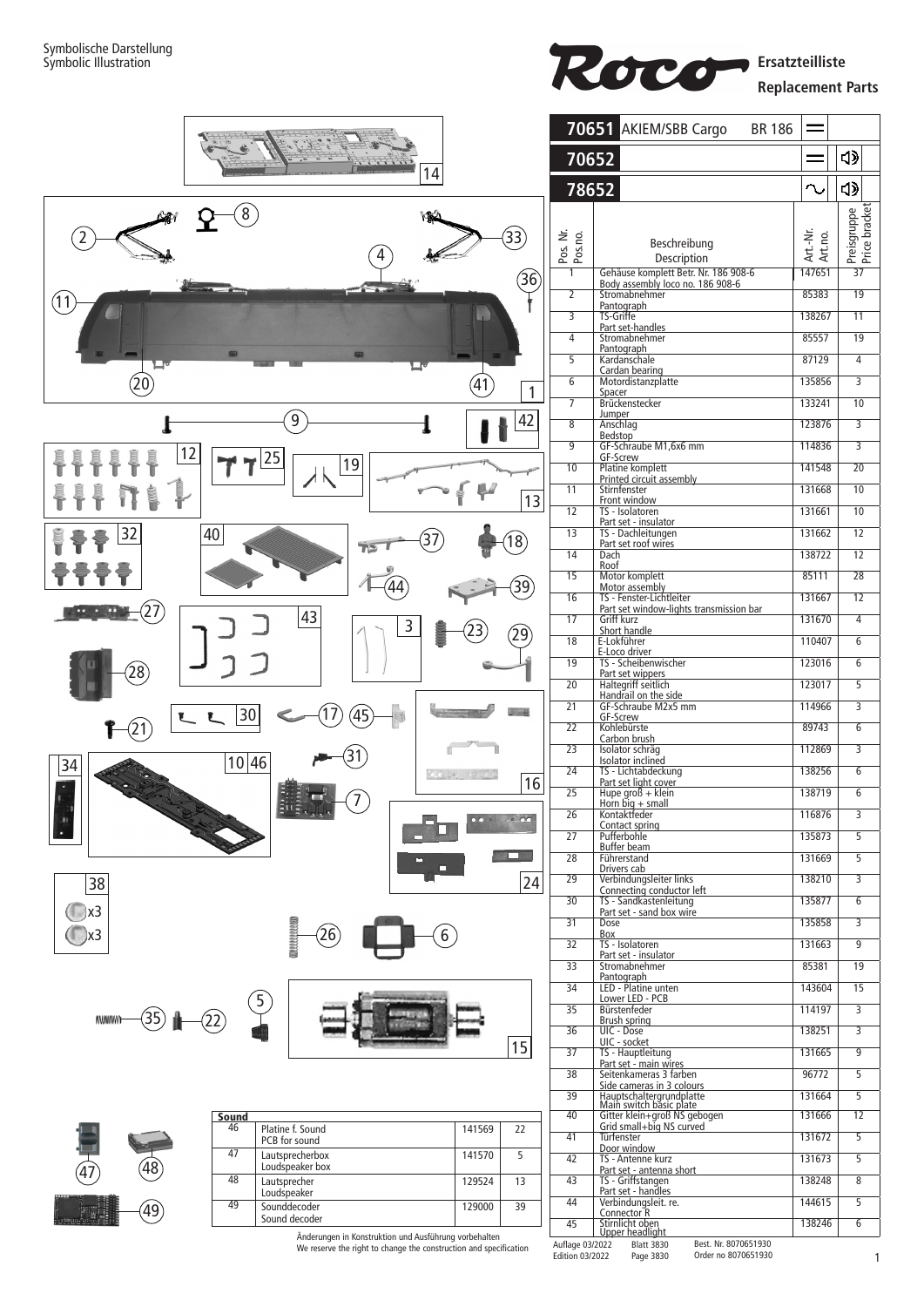



Änderungen in Konstruktion und Ausführung vorbehalten We reserve the right to change the construction and specification

**Blatt 3830** Best. Nr. 8070651930

Auflage 03/2022 Edition 03/2022

Page 3830 Order no 8070651930